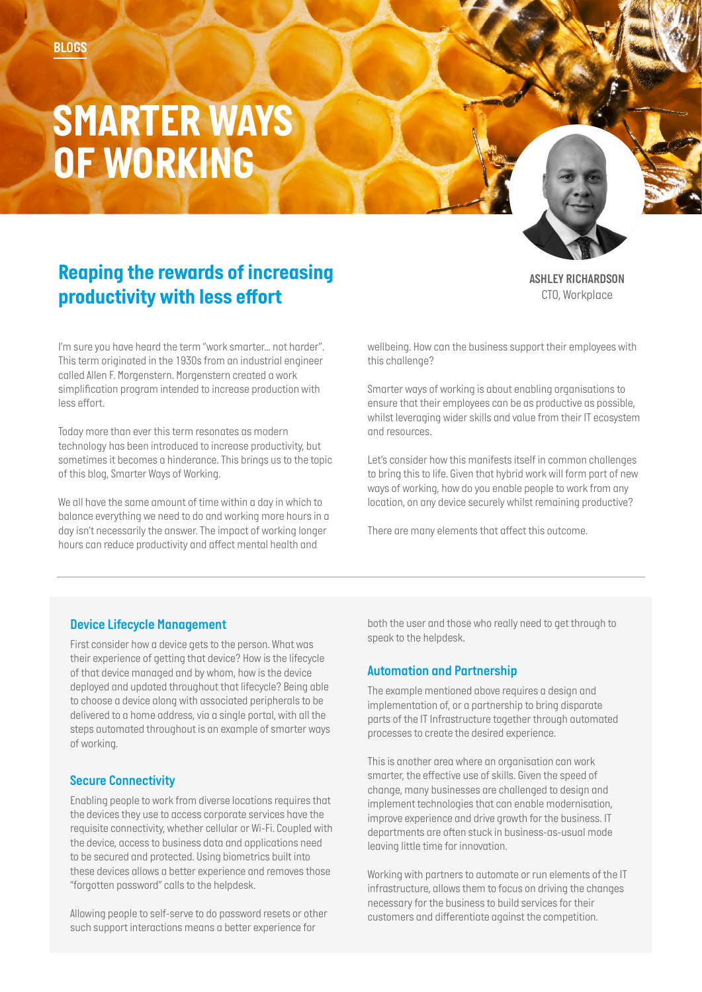# *SMARTER WAYS OF WORKING*

# *Reaping the rewards of increasing productivity with less effort*

*ASHLEY RICHARDSON CTO, Workplace*

*I'm sure you have heard the term "work smarter… not harder". This term originated in the 1930s from an industrial engineer called Allen F. Morgenstern. Morgenstern created a work simplification program intended to increase production with less effort.* 

*Today more than ever this term resonates as modern technology has been introduced to increase productivity, but sometimes it becomes a hinderance. This brings us to the topic of this blog, Smarter Ways of Working.* 

*We all have the same amount of time within a day in which to balance everything we need to do and working more hours in a day isn't necessarily the answer. The impact of working longer hours can reduce productivity and affect mental health and* 

*wellbeing. How can the business support their employees with this challenge?* 

*Smarter ways of working is about enabling organisations to ensure that their employees can be as productive as possible, whilst leveraging wider skills and value from their IT ecosystem and resources.* 

*Let's consider how this manifests itself in common challenges to bring this to life. Given that hybrid work will form part of new ways of working, how do you enable people to work from any location, on any device securely whilst remaining productive?* 

*There are many elements that affect this outcome.* 

## *Device Lifecycle Management*

*First consider how a device gets to the person. What was their experience of getting that device? How is the lifecycle of that device managed and by whom, how is the device deployed and updated throughout that lifecycle? Being able to choose a device along with associated peripherals to be delivered to a home address, via a single portal, with all the steps automated throughout is an example of smarter ways of working.* 

### *Secure Connectivity*

*Enabling people to work from diverse locations requires that the devices they use to access corporate services have the requisite connectivity, whether cellular or Wi-Fi. Coupled with the device, access to business data and applications need to be secured and protected. Using biometrics built into these devices allows a better experience and removes those "forgotten password" calls to the helpdesk.* 

*Allowing people to self-serve to do password resets or other such support interactions means a better experience for* 

*both the user and those who really need to get through to speak to the helpdesk.* 

#### *Automation and Partnership*

*The example mentioned above requires a design and implementation of, or a partnership to bring disparate parts of the IT Infrastructure together through automated processes to create the desired experience.* 

*This is another area where an organisation can work smarter, the effective use of skills. Given the speed of change, many businesses are challenged to design and implement technologies that can enable modernisation, improve experience and drive growth for the business. IT departments are often stuck in business-as-usual mode leaving little time for innovation.* 

*Working with partners to automate or run elements of the IT infrastructure, allows them to focus on driving the changes necessary for the business to build services for their customers and differentiate against the competition.*